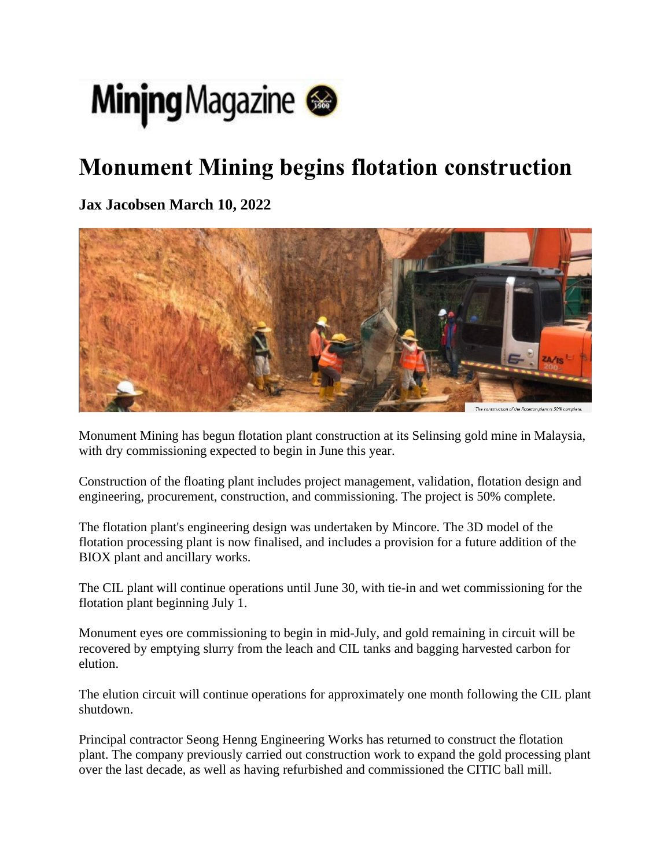

## **Monument Mining begins flotation construction**

**Jax Jacobsen March 10, 2022**



Monument Mining has begun flotation plant construction at its Selinsing gold mine in Malaysia, with dry commissioning expected to begin in June this year.

Construction of the floating plant includes project management, validation, flotation design and engineering, procurement, construction, and commissioning. The project is 50% complete.

The flotation plant's engineering design was undertaken by Mincore. The 3D model of the flotation processing plant is now finalised, and includes a provision for a future addition of the BIOX plant and ancillary works.

The CIL plant will continue operations until June 30, with tie-in and wet commissioning for the flotation plant beginning July 1.

Monument eyes ore commissioning to begin in mid-July, and gold remaining in circuit will be recovered by emptying slurry from the leach and CIL tanks and bagging harvested carbon for elution.

The elution circuit will continue operations for approximately one month following the CIL plant shutdown.

Principal contractor Seong Henng Engineering Works has returned to construct the flotation plant. The company previously carried out construction work to expand the gold processing plant over the last decade, as well as having refurbished and commissioned the CITIC ball mill.